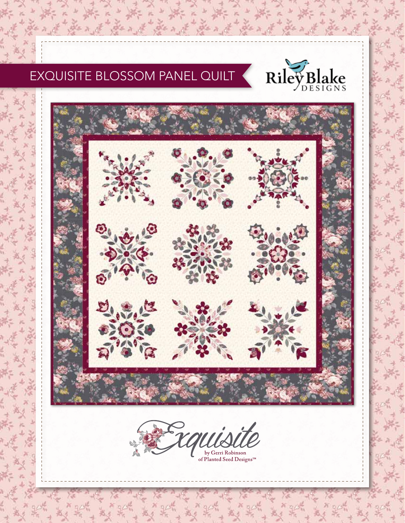